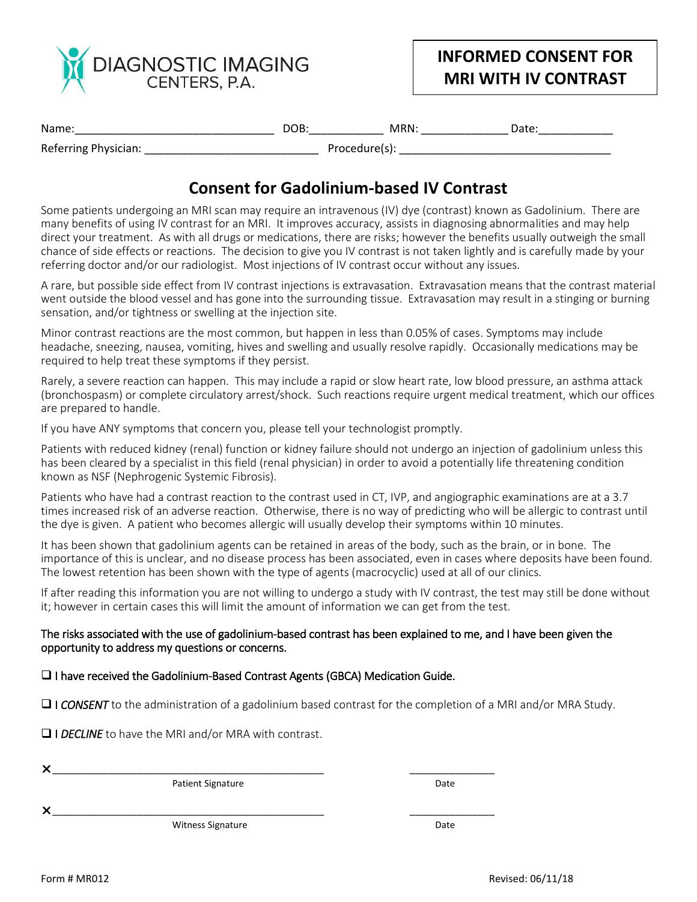

## **INFORMED CONSENT FOR MRI WITH IV CONTRAST**

| Name                 | DOB.          | MRN | Date |
|----------------------|---------------|-----|------|
| Referring Physician: | Procedure(s): |     |      |

## **Consent for Gadolinium-based IV Contrast**

Some patients undergoing an MRI scan may require an intravenous (IV) dye (contrast) known as Gadolinium. There are many benefits of using IV contrast for an MRI. It improves accuracy, assists in diagnosing abnormalities and may help direct your treatment. As with all drugs or medications, there are risks; however the benefits usually outweigh the small chance of side effects or reactions. The decision to give you IV contrast is not taken lightly and is carefully made by your referring doctor and/or our radiologist. Most injections of IV contrast occur without any issues.

A rare, but possible side effect from IV contrast injections is extravasation. Extravasation means that the contrast material went outside the blood vessel and has gone into the surrounding tissue. Extravasation may result in a stinging or burning sensation, and/or tightness or swelling at the injection site.

Minor contrast reactions are the most common, but happen in less than 0.05% of cases. Symptoms may include headache, sneezing, nausea, vomiting, hives and swelling and usually resolve rapidly. Occasionally medications may be required to help treat these symptoms if they persist.

Rarely, a severe reaction can happen. This may include a rapid or slow heart rate, low blood pressure, an asthma attack (bronchospasm) or complete circulatory arrest/shock. Such reactions require urgent medical treatment, which our offices are prepared to handle.

If you have ANY symptoms that concern you, please tell your technologist promptly.

Patients with reduced kidney (renal) function or kidney failure should not undergo an injection of gadolinium unless this has been cleared by a specialist in this field (renal physician) in order to avoid a potentially life threatening condition known as NSF (Nephrogenic Systemic Fibrosis).

Patients who have had a contrast reaction to the contrast used in CT, IVP, and angiographic examinations are at a 3.7 times increased risk of an adverse reaction. Otherwise, there is no way of predicting who will be allergic to contrast until the dye is given. A patient who becomes allergic will usually develop their symptoms within 10 minutes.

It has been shown that gadolinium agents can be retained in areas of the body, such as the brain, or in bone. The importance of this is unclear, and no disease process has been associated, even in cases where deposits have been found. The lowest retention has been shown with the type of agents (macrocyclic) used at all of our clinics.

If after reading this information you are not willing to undergo a study with IV contrast, the test may still be done without it; however in certain cases this will limit the amount of information we can get from the test.

## The risks associated with the use of gadolinium-based contrast has been explained to me, and I have been given the opportunity to address my questions or concerns.

 $\Box$  I have received the Gadolinium-Based Contrast Agents (GBCA) Medication Guide.

**I** *CONSENT* to the administration of a gadolinium based contrast for the completion of a MRI and/or MRA Study.

I *DECLINE* to have the MRI and/or MRA with contrast.

\_\_\_\_\_\_\_\_\_\_\_\_\_\_\_\_\_\_\_\_\_\_\_\_\_\_\_\_\_\_\_\_\_\_\_\_\_\_\_\_\_\_\_\_\_\_\_\_ \_\_\_\_\_\_\_\_\_\_\_\_\_\_\_

Patient Signature Date

\_\_\_\_\_\_\_\_\_\_\_\_\_\_\_\_\_\_\_\_\_\_\_\_\_\_\_\_\_\_\_\_\_\_\_\_\_\_\_\_\_\_\_\_\_\_\_\_ \_\_\_\_\_\_\_\_\_\_\_\_\_\_\_

Witness Signature **Date** Date